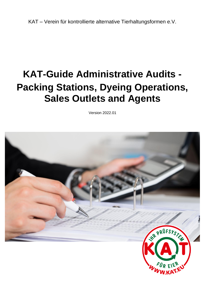KAT – Verein für kontrollierte alternative Tierhaltungsformen e.V.

# **KAT-Guide Administrative Audits - Packing Stations, Dyeing Operations, Sales Outlets and Agents**

Version 2022.01

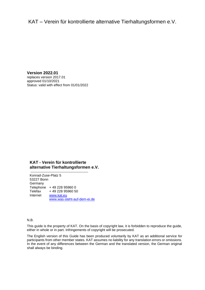# KAT – Verein für kontrollierte alternative Tierhaltungsformen e.V.

**Version 2022.01** replaces version 2017.01 approved 01/10/2021 Status: valid with effect from 01/01/2022

#### **KAT - Verein für kontrollierte alternative Tierhaltungsformen e.V.**

Konrad-Zuse-Platz 5 53227 Bonn Germany Telephone + 49 228 95960 0 Telefax + 49 228 95960 50 Internet [www.kat.eu](file://///kat-fs01/Kontrollen/KAT/Prüfsystematik%20und%20Leitfäden/1.%20KAT-Prüfsystematik%20und%20Leitfäden%202017-2020/2_Leitfäden/In%20Bearbeitung/Vorlage/www.kat.ec) [www.was-steht-auf-dem-ei.de](file://///kat-fs01/Kontrollen/KAT/Prüfsystematik%20und%20Leitfäden/1.%20KAT-Prüfsystematik%20und%20Leitfäden%202017-2020/2_Leitfäden/In%20Bearbeitung/Vorlage/www.was-steht-auf-dem-ei.de)

N.B.

This guide is the property of KAT. On the basis of copyright law, it is forbidden to reproduce the guide, either in whole or in part. Infringements of copyright will be prosecuted.

The English version of this Guide has been produced voluntarily by KAT as an additional service for participants from other member states. KAT assumes no liability for any translation errors or omissions. In the event of any differences between the German and the translated version, the German original shall always be binding.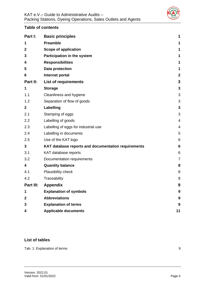

# **Table of contents**

| Part I:      | <b>Basic principles</b>                             | 1               |
|--------------|-----------------------------------------------------|-----------------|
| 1            | <b>Preamble</b>                                     | 1               |
| $\mathbf{2}$ | <b>Scope of application</b>                         | 1               |
| 3            | Participation in the system                         | 1               |
| 4            | <b>Responsibilities</b>                             | 1               |
| 5            | <b>Data protection</b>                              | 1               |
| 6            | Internet portal                                     | $\mathbf{2}$    |
| Part II:     | <b>List of requirements</b>                         | 3               |
| 1            | <b>Storage</b>                                      | 3               |
| 1.1          | Cleanliness and hygiene                             | 3               |
| 1.2          | Separation of flow of goods                         | 3               |
| $\mathbf{2}$ | Labelling                                           | 3               |
| 2.1          | Stamping of eggs                                    | 3               |
| 2.2          | Labelling of goods                                  | 4               |
| 2.3          | Labelling of eggs for industrial use                | $\overline{4}$  |
| 2.4          | Labelling in documents                              | 5               |
| 2.5          | Use of the KAT logo                                 | 6               |
| $\mathbf{3}$ | KAT database reports and documentation requirements | $6\phantom{1}6$ |
| 3.1          | KAT database reports                                | 6               |
| 3.2          | Documentation requirements                          | $\overline{7}$  |
| 4            | <b>Quantity balance</b>                             | 8               |
| 4.1          | Plausibility check                                  | 8               |
| 4.2          | Traceability                                        | 8               |
| Part III:    | <b>Appendix</b>                                     | 9               |
| 1            | <b>Explanation of symbols</b>                       | 9               |
| 2            | <b>Abbreviations</b>                                | 9               |
| 3            | <b>Explanation of terms</b>                         | 9               |
| 4            | <b>Applicable documents</b>                         | 11              |

# **List of tables**

[Tab. 1: Explanation of terms](#page-11-4) 9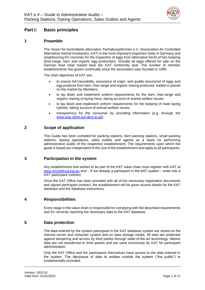

# <span id="page-3-0"></span>**Part I: Basic principles**

# <span id="page-3-1"></span>**1 Preamble**

The Verein für kontrollierte alternative Tierhaltungsformen e.V. (Association for Controlled Alternative Animal Husbandry, KAT) is the most important inspection body in Germany and neighbouring EU countries for the inspection of eggs from alternative forms of hen keeping (free-range, barn and organic egg production). Virtually all eggs offered for sale on the German food retail market bear the KAT conformity seal. The number of member establishments has grown continually since the association was founded in 1995.

<span id="page-3-2"></span>The chief objectives of KAT are:

- to ensure full traceability, assurance of origin, and quality assurance of eggs and egg products from barn, free-range and organic rearing produced, traded or placed on the market by Members;
- to lay down and implement uniform requirements for the barn, free-range and organic rearing of laying hens, taking account of animal welfare issues;
- to lay down and implement uniform requirements for the keeping of male laying hybrids, taking account of animal welfare issues;
- transparency for the consumer by providing information (e.g. through the www.was-steht-auf-dem-ei.de).

# **2 Scope of application**

This Guide has been compiled for packing stations, farm packing stations, small packing stations, dyeing operations, sales outlets and agents as a basis for performing administrative audits of the respective establishment. The requirements upon which the guide is based are independent of the size of the establishment and apply to all participants.

## <span id="page-3-3"></span>**3 Participation in the system**

Any establishment that wishes to be part of the KAT value chain must register with KAT at www.anmeldung.kat.eu and – if not already a participant in the KAT system – enter into a KAT participant contract.

Once the KAT Office has been provided with all of the necessary registration documents and signed participant contract, the establishment will be given access details for the KAT database and the database instructions.

# <span id="page-3-4"></span>**4 Responsibilities**

Every stage in the value chain is responsible for complying with the described requirements and for correctly reporting the necessary data to the KAT database.

## <span id="page-3-5"></span>**5 Data protection**

The data entered by the system participant in the KAT database system are stored on the internet server and computer system and on data storage media. All data are protected against tampering and access by third parties through state-of-the-art technology. Master data are not transferred to third parties and are used exclusively by KAT for participant administration.

Only the KAT Office and the participants themselves have access to the data entered in the system. The disclosure of data to entities outside the system ("the public") is fundamentally excluded.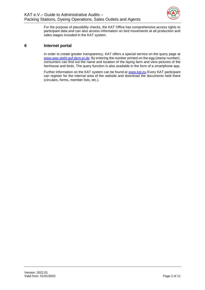

For the purpose of plausibility checks, the KAT Office has comprehensive access rights to participant data and can also access information on bird movements at all production and sales stages included in the KAT system.

# <span id="page-4-0"></span>**6 Internet portal**

In order to create greater transparency, KAT offers a special service on the query page at www.was-steht-auf-dem-ei.de: By entering the number printed on the egg (stamp number), consumers can find out the name and location of the laying farm and view pictures of the henhouse and birds. The query function is also available in the form of a smartphone app.

Further information on the KAT system can be found at www.kat.eu Every KAT participant can register for the internal area of the website and download the documents held there (circulars, forms, member lists, etc.).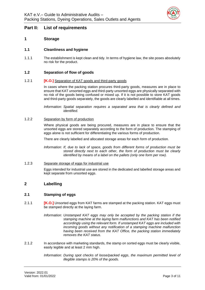

# <span id="page-5-0"></span>**Part II: List of requirements**

# <span id="page-5-1"></span>**1 Storage**

## <span id="page-5-2"></span>**1.1 Cleanliness and hygiene**

1.1.1 The establishment is kept clean and tidy. In terms of hygiene law, the site poses absolutely no risk for the product.

#### <span id="page-5-3"></span>**1.2 Separation of flow of goods**

#### 1.2.1 **[K.O.]** Separation of KAT goods and third-party goods

In cases where the packing station procures third-party goods, measures are in place to ensure that KAT unsorted eggs and third-party unsorted eggs are physically separated with no risk of the goods being confused or mixed up. If it is not possible to store KAT goods and third-party goods separately, the goods are clearly labelled and identifiable at all times.

*Information: Spatial separation requires a separated area that is clearly defined and identified.*

#### 1.2.2 Separation by form of production

Where physical goods are being procured, measures are in place to ensure that the unsorted eggs are stored separately according to the form of production. The stamping of eggs alone is not sufficient for differentiating the various forms of production.

There are clearly labelled and allocated storage areas for each form of production.

*Information: If, due to lack of space, goods from different forms of production must be stored directly next to each other, the form of production must be clearly identified by means of a label on the pallets (only one form per row).*

1.2.3 Separate storage of eggs for industrial use

Eggs intended for industrial use are stored in the dedicated and labelled storage areas and kept separate from unsorted eggs.

## <span id="page-5-4"></span>**2 Labelling**

#### <span id="page-5-5"></span>**2.1 Stamping of eggs**

- 2.1.1 **[K.O.]** Unsorted eggs from KAT farms are stamped at the packing station. KAT eggs must be stamped directly at the laying farm.
	- *Information: Unstamped KAT eggs may only be accepted by the packing station if the stamping machine at the laying farm malfunctions and KAT has been notified accordingly using the relevant form. If unstamped KAT eggs are included with incoming goods without any notification of a stamping machine malfunction having been received from the KAT Office, the packing station immediately removes the KAT status.*
- 2.1.2 In accordance with marketing standards, the stamp on sorted eggs must be clearly visible, easily legible and at least 2 mm high.

*Information: During spot checks of loose/packed eggs, the maximum permitted level of illegible stamps is 20% of the goods.*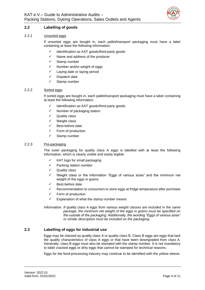

# <span id="page-6-0"></span>**2.2 Labelling of goods**

#### 2.2.1 Unsorted eggs

If unsorted eggs are bought in, each pallet/transport packaging must have a label containing at least the following information:

- Identification as KAT goods/third-party goods
- ✓ Name and address of the producer
- ✓ Stamp number
- ✓ Number and/or weight of eggs
- ✓ Laying date or laying period
- Dispatch date
- Stamp number

#### 2.2.2 Sorted eggs

If sorted eggs are bought in, each pallet/transport packaging must have a label containing at least the following information:

- ✓ Identification as KAT goods/third-party goods
- ✓ Number of packaging station
- ✓ Quality class
- ✓ Weight class
- ✓ Best-before date
- ✓ Form of production
- ✓ Stamp number

#### 2.2.3 Pre-packaging

The outer packaging for quality class A eggs is labelled with at least the following information, which is clearly visible and easily legible:

- $\checkmark$  KAT logo for small packaging
- ✓ Packing station number
- Quality class
- Weight class or the information "Eggs of various sizes" and the minimum net weight of the eggs in grams
- ✓ Best-before date
- Recommendation to consumers to store eggs at fridge temperature after purchase
- ✓ Form of production
- $\checkmark$  Explanation of what the stamp number means

*Information: If quality class A eggs from various weight classes are included in the same package, the minimum net weight of the eggs in grams must be specified on the outside of the packaging. Additionally, the wording "Eggs of various sizes" or similar description must be included on the packaging.*

#### <span id="page-6-1"></span>**2.3 Labelling of eggs for industrial use**

Eggs may be classed as quality class A or quality class B. Class B eggs are eggs that lack the quality characteristics of class A eggs or that have been downgraded from class A. Generally, class B eggs must also be stamped with the stamp number. It is not mandatory to label cracked eggs or dirty eggs that cannot be stamped for technical reasons.

Eggs for the food-processing industry may continue to be identified with the yellow sleeve.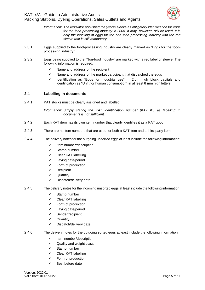

- *Information: The legislator abolished the yellow sleeve as obligatory identification for eggs for the food-processing industry in 2008. It may, however, still be used. It is only the labelling of eggs for the non-food processing industry with the red sleeve that is still mandatory.*
- 2.3.1 Eggs supplied to the food-processing industry are clearly marked as "Eggs for the foodprocessing industry".
- 2.3.2 Eggs being supplied to the "Non-food industry" are marked with a red label or sleeve. The following information is required:
	- $\checkmark$  Name and address of the recipient
	- $\checkmark$  Name and address of the market participant that dispatched the eggs
	- ✓ Identification as "Eggs for industrial use" in 2 cm high block capitals and identification as "Unfit for human consumption" in at least 8 mm high letters.

## <span id="page-7-0"></span>**2.4 Labelling in documents**

2.4.1 KAT stocks must be clearly assigned and labelled.

*Information: Simply stating the KAT identification number (KAT ID) as labelling in documents is not sufficient.*

- 2.4.2 Each KAT item has its own item number that clearly identifies it as a KAT good.
- 2.4.3 There are no item numbers that are used for both a KAT item and a third-party item.
- 2.4.4 The delivery notes for the outgoing unsorted eggs at least include the following information:
	- ✓ Item number/description
	- ✓ Stamp number
	- Clear KAT labelling
	- ✓ Laying date/period
	- ✓ Form of production
	- ✓ Recipient
	- ✓ Quantity
	- Dispatch/delivery date
- 2.4.5 The delivery notes for the incoming unsorted eggs at least include the following information:
	- ✓ Stamp number
	- ✓ Clear KAT labelling
	- ✓ Form of production
	- ✓ Laying date/period
	- ✓ Sender/recipient
	- ✓ Quantity
	- ✓ Dispatch/delivery date
- 2.4.6 The delivery notes for the outgoing sorted eggs at least include the following information:
	- ✓ Item number/description
	- ✓ Quality and weight class
	- ✓ Stamp number
	- ✓ Clear KAT labelling
	- ✓ Form of production
	- Best before date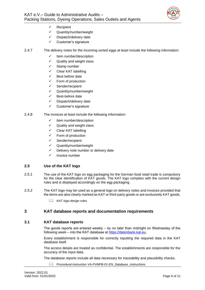

- ✓ Recipient
- ✓ Quantity/number/weight
- ✓ Dispatch/delivery date
- ✓ Customer's signature
- 2.4.7 The delivery notes for the incoming sorted eggs at least include the following information:
	- ✓ Item number/description
	- ✓ Quality and weight class
	- ✓ Stamp number
	- ✓ Clear KAT labelling
	- ✓ Best before date
	- Form of production
	- ✓ Sender/recipient
	- ✓ Quantity/number/weight
	- ✓ Best-before date
	- ✓ Dispatch/delivery date
	- ✓ Customer's signature
- 2.4.8 The invoices at least include the following information:
	- ✓ Item number/description
	- ✓ Quality and weight class
	- ✓ Clear KAT labelling
	- Form of production
	- ✓ Sender/recipient
	- ✓ Quantity/number/weight
	- ✓ Delivery note number or delivery date
	- ✓ Invoice number

## <span id="page-8-0"></span>**2.5 Use of the KAT logo**

- 2.5.1 The use of the KAT logo on egg packaging for the German food retail trade is compulsory for the clear identification of KAT goods. The KAT logo complies with the current design rules and is displayed accordingly on the egg packaging.
- 2.5.2 The KAT logo may be used as a general logo on delivery notes and invoices provided that the items are also clearly marked as KAT or third-party goods or are exclusively KAT goods.
	- *KAT logo design rules*

## <span id="page-8-1"></span>**3 KAT database reports and documentation requirements**

#### <span id="page-8-2"></span>**3.1 KAT database reports**

The goods reports are entered weekly  $-$  by no later than midnight on Wednesday of the following week – into the KAT database at https://datenbank.kat.eu.

Every establishment is responsible for correctly inputting the required data in the KAT database itself.

The access details are treated as confidential. The establishments are responsible for the accuracy of the input data.

The database reports include all data necessary for traceability and plausibility checks.

*Procedural instruction VA-PVMFB-01-EN\_Database\_instructions*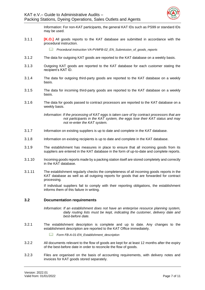

Information: For non-KAT participants, the general KAT IDs such as PS99 or standard IDs may be used.

3.1.1 **[K.O.]** All goods reports to the KAT database are submitted in accordance with the procedural instruction.

*Procedural instruction VA-PVMFB-02\_EN\_Submission\_of\_goods\_reports*

- 3.1.2 The data for outgoing KAT goods are reported to the KAT database on a weekly basis.
- 3.1.3 Outgoing KAT goods are reported to the KAT database for each customer stating the recipient's KAT ID.
- 3.1.4 The data for outgoing third-party goods are reported to the KAT database on a weekly basis.
- 3.1.5 The data for incoming third-party goods are reported to the KAT database on a weekly basis.
- 3.1.6 The data for goods passed to contract processors are reported to the KAT database on a weekly basis.

*Information: If the processing of KAT eggs is taken care of by contract processors that are not participants in the KAT system, the eggs lose their KAT status and may not re-enter the KAT system.*

- 3.1.7 Information on existing suppliers is up to date and complete in the KAT database.
- 3.1.8 Information on existing recipients is up to date and complete in the KAT database.
- 3.1.9 The establishment has measures in place to ensure that all incoming goods from its suppliers are entered in the KAT database in the form of up-to-date and complete reports.
- 3.1.10 Incoming goods reports made by a packing station itself are stored completely and correctly in the KAT database.
- 3.1.11 The establishment regularly checks the completeness of all incoming goods reports in the KAT database as well as all outgoing reports for goods that are forwarded for contract processing.

If individual suppliers fail to comply with their reporting obligations, the establishment informs them of this failure in writing.

#### <span id="page-9-0"></span>**3.2 Documentation requirements**

- *Information: If an establishment does not have an enterprise resource planning system, daily routing lists must be kept, indicating the customer, delivery date and best-before date.*
- 3.2.1 The establishment description is complete and up to date. Any changes to the establishment description are reported to the KAT Office immediately.
	- *Form FB-A-01-EN\_Establishment\_description*
- 3.2.2 All documents relevant to the flow of goods are kept for at least 12 months after the expiry of the best-before date in order to reconcile the flow of goods.
- 3.2.3 Files are organised on the basis of accounting requirements, with delivery notes and invoices for KAT goods stored separately.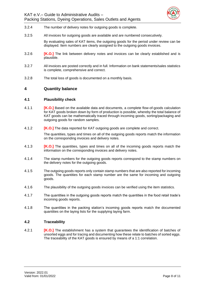

- 3.2.4 The number of delivery notes for outgoing goods is complete.
- 3.2.5 All invoices for outgoing goods are available and are numbered consecutively.

By evaluating sales of KAT items, the outgoing goods for the period under review can be displayed. Item numbers are clearly assigned to the outgoing goods invoices.

- 3.2.6 **[K.O.]** The link between delivery notes and invoices can be clearly established and is plausible.
- 3.2.7 All invoices are posted correctly and in full. Information on bank statements/sales statistics is complete, comprehensive and correct.
- 3.2.8 The total loss of goods is documented on a monthly basis.

## <span id="page-10-0"></span>**4 Quantity balance**

#### <span id="page-10-1"></span>**4.1 Plausibility check**

- 4.1.1 **[K.O.]** Based on the available data and documents, a complete flow-of-goods calculation for KAT goods broken down by form of production is possible, whereby the total balance of KAT goods can be mathematically traced through incoming goods, sorting/packaging and outgoing goods for random samples.
- 4.1.2 **[K.O.]** The data reported for KAT outgoing goods are complete and correct.

The quantities, types and times on all of the outgoing goods reports match the information on the corresponding invoices and delivery notes.

- 4.1.3 **[K.O.]** The quantities, types and times on all of the incoming goods reports match the information on the corresponding invoices and delivery notes.
- 4.1.4 The stamp numbers for the outgoing goods reports correspond to the stamp numbers on the delivery notes for the outgoing goods.
- 4.1.5 The outgoing goods reports only contain stamp numbers that are also reported for incoming goods. The quantities for each stamp number are the same for incoming and outgoing goods.
- 4.1.6 The plausibility of the outgoing goods invoices can be verified using the item statistics.
- 4.1.7 The quantities in the outgoing goods reports match the quantities in the food retail trade's incoming goods reports.
- 4.1.8 The quantities in the packing station's incoming goods reports match the documented quantities on the laying lists for the supplying laying farm.

## <span id="page-10-2"></span>**4.2 Traceability**

4.2.1 **[K.O.]** The establishment has a system that guarantees the identification of batches of unsorted eggs and for tracing and documenting how these relate to batches of sorted eggs. The traceability of the KAT goods is ensured by means of a 1:1 correlation.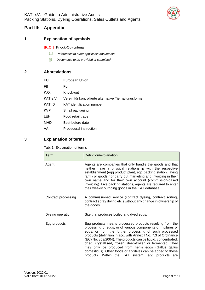

# <span id="page-11-0"></span>**Part III: Appendix**

# <span id="page-11-1"></span>**1 Explanation of symbols**

**[K.O.]** Knock-Out-criteria

- *References to other applicable documents*
- *Documents to be provided or submitted*

# <span id="page-11-2"></span>**2 Abbreviations**

| EU         | European Union                                          |
|------------|---------------------------------------------------------|
| FB         | Form                                                    |
| K.O.       | Knock-out                                               |
| KAT e.V.   | Verein für kontrollierte alternative Tierhaltungsformen |
| KAT ID     | KAT identification number                               |
| <b>KVP</b> | Small packaging                                         |
| <b>LEH</b> | Food retail trade                                       |
| MHD        | Best-before date                                        |
| VA         | Procedural instruction                                  |

# <span id="page-11-4"></span><span id="page-11-3"></span>**3 Explanation of terms**

Tab. 1: Explanation of terms

| Term                | Definition/explanation                                                                                                                                                                                                                                                                                                                                                                                                                                                                                                                                         |
|---------------------|----------------------------------------------------------------------------------------------------------------------------------------------------------------------------------------------------------------------------------------------------------------------------------------------------------------------------------------------------------------------------------------------------------------------------------------------------------------------------------------------------------------------------------------------------------------|
| Agent               | Agents are companies that only handle the goods and that<br>neither have a physical relationship with the respective<br>establishment (egg product plant, egg packing station, laying<br>farm) or goods nor carry out marketing and invoicing in their<br>own name and for their own account (commission-based<br>invoicing). Like packing stations, agents are required to enter<br>their weekly outgoing goods in the KAT database.                                                                                                                          |
| Contract processing | A commissioned service (contract dyeing, contract sorting,<br>contract spray drying etc.) without any change in ownership of<br>the goods                                                                                                                                                                                                                                                                                                                                                                                                                      |
| Dyeing operation    | Site that produces boiled and dyed eggs.                                                                                                                                                                                                                                                                                                                                                                                                                                                                                                                       |
| Egg products        | Egg products means processed products resulting from the<br>processing of eggs, or of various components or mixtures of<br>eggs, or from the further processing of such processed<br>products (definition in acc. with Annex I No. 7.3 of Ordinance<br>(EC) No. 853/2004). The products can be liquid, concentrated,<br>dried, crystallised, frozen, deep-frozen or fermented. They<br>may only be produced from hen's eggs (Gallus gallus<br>domesticus). Other foods or additives can be added to these<br>products. Within the KAT system, egg products are |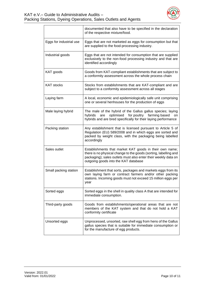

|                         | documented that also have to be specified in the declaration<br>of the respective mixture/food.                                                                                                                                       |
|-------------------------|---------------------------------------------------------------------------------------------------------------------------------------------------------------------------------------------------------------------------------------|
| Eggs for industrial use | Eggs that are not marketed as eggs for consumption but that<br>are supplied to the food-processing industry.                                                                                                                          |
| Industrial goods        | Eggs that are not intended for consumption that are supplied<br>exclusively to the non-food processing industry and that are<br>identified accordingly                                                                                |
| KAT goods               | Goods from KAT-compliant establishments that are subject to<br>a conformity assessment across the whole process chain                                                                                                                 |
| <b>KAT stocks</b>       | Stocks from establishments that are KAT-compliant and are<br>subject to a conformity assessment across all stages                                                                                                                     |
| Laying farm             | A local, economic and epidemiologically safe unit comprising<br>one or several henhouses for the production of eggs                                                                                                                   |
| Male laying hybrid      | The male of the hybrid of the Gallus gallus species; laying<br>optimised<br>for poultry farming based<br>hybrids<br>are<br>on<br>hybrids and are bred specifically for their laying performance                                       |
| Packing station         | Any establishment that is licensed pursuant to Article 5 of<br>Regulation (EU) 589/2008 and in which eggs are sorted and<br>packed by weight class, with the packaging being labelled<br>accordingly                                  |
| Sales outlet            | Establishments that market KAT goods in their own name;<br>there is no physical change to the goods (sorting, labelling and<br>packaging); sales outlets must also enter their weekly data on<br>outgoing goods into the KAT database |
| Small packing station   | Establishment that sorts, packages and markets eggs from its<br>own laying farm or contract farmers and/or other packing<br>stations. Incoming goods must not exceed 15 million eggs per<br>year                                      |
| Sorted eggs             | Sorted eggs in the shell in quality class A that are intended for<br>immediate consumption.                                                                                                                                           |
| Third-party goods       | Goods from establishments/operational areas that are not<br>members of the KAT system and that do not hold a KAT<br>conformity certificate                                                                                            |
| Unsorted eggs           | Unprocessed, unsorted, raw shell egg from hens of the Gallus<br>gallus species that is suitable for immediate consumption or<br>for the manufacture of egg products.                                                                  |